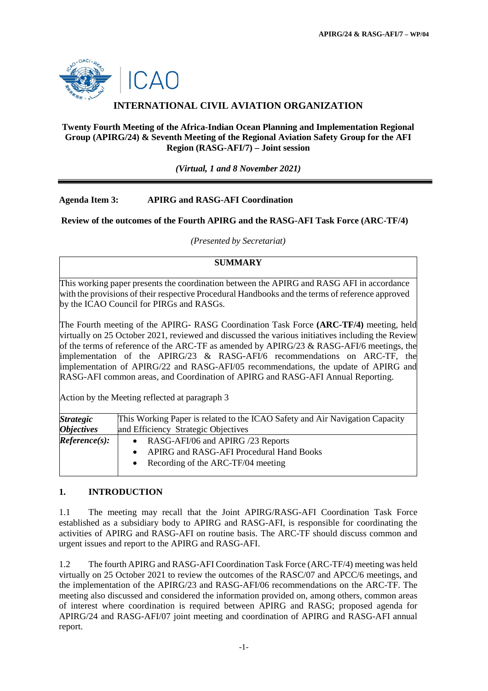

## **INTERNATIONAL CIVIL AVIATION ORGANIZATION**

#### **Twenty Fourth Meeting of the Africa-Indian Ocean Planning and Implementation Regional Group (APIRG/24) & Seventh Meeting of the Regional Aviation Safety Group for the AFI Region (RASG-AFI/7) – Joint session**

*(Virtual, 1 and 8 November 2021)*

#### **Agenda Item 3: APIRG and RASG-AFI Coordination**

**Review of the outcomes of the Fourth APIRG and the RASG-AFI Task Force (ARC-TF/4)**

*(Presented by Secretariat)*

#### **SUMMARY**

This working paper presents the coordination between the APIRG and RASG AFI in accordance with the provisions of their respective Procedural Handbooks and the terms of reference approved by the ICAO Council for PIRGs and RASGs.

The Fourth meeting of the APIRG- RASG Coordination Task Force **(ARC-TF/4)** meeting, held virtually on 25 October 2021, reviewed and discussed the various initiatives including the Review of the terms of reference of the ARC-TF as amended by APIRG/23 & RASG-AFI/6 meetings, the implementation of the APIRG/23 & RASG-AFI/6 recommendations on ARC-TF, the implementation of APIRG/22 and RASG-AFI/05 recommendations, the update of APIRG and RASG-AFI common areas, and Coordination of APIRG and RASG-AFI Annual Reporting.

Action by the Meeting reflected at paragraph 3

| <b>Strategic</b>         | This Working Paper is related to the ICAO Safety and Air Navigation Capacity |
|--------------------------|------------------------------------------------------------------------------|
| <i><b>Objectives</b></i> | and Efficiency Strategic Objectives                                          |
| Reference(s):            | RASG-AFI/06 and APIRG /23 Reports                                            |
|                          | APIRG and RASG-AFI Procedural Hand Books                                     |
|                          | Recording of the ARC-TF/04 meeting                                           |
|                          |                                                                              |

#### **1. INTRODUCTION**

1.1 The meeting may recall that the Joint APIRG/RASG-AFI Coordination Task Force established as a subsidiary body to APIRG and RASG-AFI, is responsible for coordinating the activities of APIRG and RASG-AFI on routine basis. The ARC-TF should discuss common and urgent issues and report to the APIRG and RASG-AFI.

1.2 The fourth APIRG and RASG-AFI Coordination Task Force (ARC-TF/4) meeting was held virtually on 25 October 2021 to review the outcomes of the RASC/07 and APCC/6 meetings, and the implementation of the APIRG/23 and RASG-AFI/06 recommendations on the ARC-TF. The meeting also discussed and considered the information provided on, among others, common areas of interest where coordination is required between APIRG and RASG; proposed agenda for APIRG/24 and RASG-AFI/07 joint meeting and coordination of APIRG and RASG-AFI annual report.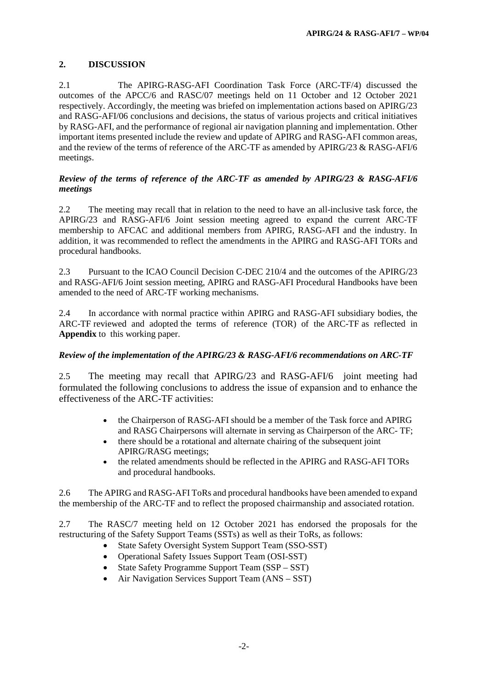## **2. DISCUSSION**

2.1 The APIRG-RASG-AFI Coordination Task Force (ARC-TF/4) discussed the outcomes of the APCC/6 and RASC/07 meetings held on 11 October and 12 October 2021 respectively. Accordingly, the meeting was briefed on implementation actions based on APIRG/23 and RASG-AFI/06 conclusions and decisions, the status of various projects and critical initiatives by RASG-AFI, and the performance of regional air navigation planning and implementation. Other important items presented include the review and update of APIRG and RASG-AFI common areas, and the review of the terms of reference of the ARC-TF as amended by APIRG/23 & RASG-AFI/6 meetings.

#### *Review of the terms of reference of the ARC-TF as amended by APIRG/23 & RASG-AFI/6 meetings*

2.2 The meeting may recall that in relation to the need to have an all-inclusive task force, the APIRG/23 and RASG-AFI/6 Joint session meeting agreed to expand the current ARC-TF membership to AFCAC and additional members from APIRG, RASG-AFI and the industry. In addition, it was recommended to reflect the amendments in the APIRG and RASG-AFI TORs and procedural handbooks.

2.3 Pursuant to the ICAO Council Decision C-DEC 210/4 and the outcomes of the APIRG/23 and RASG-AFI/6 Joint session meeting, APIRG and RASG-AFI Procedural Handbooks have been amended to the need of ARC-TF working mechanisms.

2.4 In accordance with normal practice within APIRG and RASG-AFI subsidiary bodies, the ARC-TF reviewed and adopted the terms of reference (TOR) of the ARC-TF as reflected in **Appendix** to this working paper.

#### *Review of the implementation of the APIRG/23 & RASG-AFI/6 recommendations on ARC-TF*

2.5 The meeting may recall that APIRG/23 and RASG-AFI/6 joint meeting had formulated the following conclusions to address the issue of expansion and to enhance the effectiveness of the ARC-TF activities:

- the Chairperson of RASG-AFI should be a member of the Task force and APIRG and RASG Chairpersons will alternate in serving as Chairperson of the ARC- TF;
- there should be a rotational and alternate chairing of the subsequent joint APIRG/RASG meetings;
- the related amendments should be reflected in the APIRG and RASG-AFI TORs and procedural handbooks.

2.6 The APIRG and RASG-AFI ToRs and procedural handbooks have been amended to expand the membership of the ARC-TF and to reflect the proposed chairmanship and associated rotation.

2.7 The RASC/7 meeting held on 12 October 2021 has endorsed the proposals for the restructuring of the Safety Support Teams (SSTs) as well as their ToRs, as follows:

- State Safety Oversight System Support Team (SSO-SST)
- Operational Safety Issues Support Team (OSI-SST)
- State Safety Programme Support Team (SSP SST)
- Air Navigation Services Support Team (ANS SST)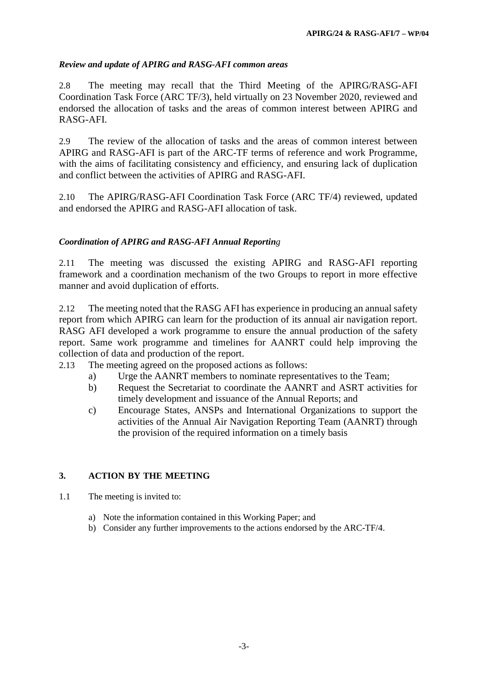## *Review and update of APIRG and RASG-AFI common areas*

2.8 The meeting may recall that the Third Meeting of the APIRG/RASG-AFI Coordination Task Force (ARC TF/3), held virtually on 23 November 2020, reviewed and endorsed the allocation of tasks and the areas of common interest between APIRG and RASG-AFI.

2.9 The review of the allocation of tasks and the areas of common interest between APIRG and RASG-AFI is part of the ARC-TF terms of reference and work Programme, with the aims of facilitating consistency and efficiency, and ensuring lack of duplication and conflict between the activities of APIRG and RASG-AFI.

2.10 The APIRG/RASG-AFI Coordination Task Force (ARC TF/4) reviewed, updated and endorsed the APIRG and RASG-AFI allocation of task.

## *Coordination of APIRG and RASG-AFI Annual Reporting*

2.11 The meeting was discussed the existing APIRG and RASG-AFI reporting framework and a coordination mechanism of the two Groups to report in more effective manner and avoid duplication of efforts.

2.12 The meeting noted that the RASG AFI has experience in producing an annual safety report from which APIRG can learn for the production of its annual air navigation report. RASG AFI developed a work programme to ensure the annual production of the safety report. Same work programme and timelines for AANRT could help improving the collection of data and production of the report.

- 2.13 The meeting agreed on the proposed actions as follows:
	- a) Urge the AANRT members to nominate representatives to the Team;
	- b) Request the Secretariat to coordinate the AANRT and ASRT activities for timely development and issuance of the Annual Reports; and
	- c) Encourage States, ANSPs and International Organizations to support the activities of the Annual Air Navigation Reporting Team (AANRT) through the provision of the required information on a timely basis

#### **3. ACTION BY THE MEETING**

- 1.1 The meeting is invited to:
	- a) Note the information contained in this Working Paper; and
	- b) Consider any further improvements to the actions endorsed by the ARC-TF/4.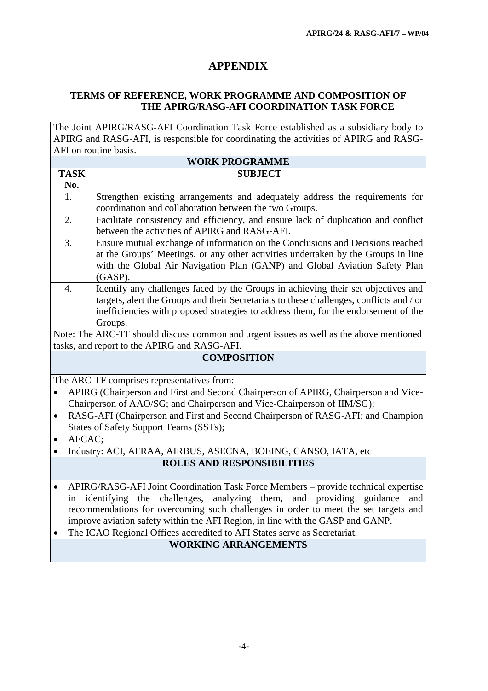# **APPENDIX**

## **TERMS OF REFERENCE, WORK PROGRAMME AND COMPOSITION OF THE APIRG/RASG-AFI COORDINATION TASK FORCE**

The Joint APIRG/RASG-AFI Coordination Task Force established as a subsidiary body to APIRG and RASG-AFI, is responsible for coordinating the activities of APIRG and RASG-AFI on routine basis.

| <b>WORK PROGRAMME</b>                                                                          |                                                                                          |  |
|------------------------------------------------------------------------------------------------|------------------------------------------------------------------------------------------|--|
| <b>TASK</b>                                                                                    | <b>SUBJECT</b>                                                                           |  |
| No.                                                                                            |                                                                                          |  |
| 1.                                                                                             | Strengthen existing arrangements and adequately address the requirements for             |  |
|                                                                                                | coordination and collaboration between the two Groups.                                   |  |
| 2.                                                                                             | Facilitate consistency and efficiency, and ensure lack of duplication and conflict       |  |
|                                                                                                | between the activities of APIRG and RASG-AFI.                                            |  |
| 3.                                                                                             | Ensure mutual exchange of information on the Conclusions and Decisions reached           |  |
|                                                                                                | at the Groups' Meetings, or any other activities undertaken by the Groups in line        |  |
|                                                                                                | with the Global Air Navigation Plan (GANP) and Global Aviation Safety Plan               |  |
|                                                                                                | (GASP).                                                                                  |  |
| $\overline{4}$ .                                                                               | Identify any challenges faced by the Groups in achieving their set objectives and        |  |
|                                                                                                | targets, alert the Groups and their Secretariats to these challenges, conflicts and / or |  |
|                                                                                                | inefficiencies with proposed strategies to address them, for the endorsement of the      |  |
|                                                                                                | Groups.                                                                                  |  |
| Note: The ARC-TF should discuss common and urgent issues as well as the above mentioned        |                                                                                          |  |
| tasks, and report to the APIRG and RASG-AFI.                                                   |                                                                                          |  |
| <b>COMPOSITION</b>                                                                             |                                                                                          |  |
| The ARC-TF comprises representatives from:                                                     |                                                                                          |  |
| APIRG (Chairperson and First and Second Chairperson of APIRG, Chairperson and Vice-            |                                                                                          |  |
| Chairperson of AAO/SG; and Chairperson and Vice-Chairperson of IIM/SG);                        |                                                                                          |  |
| RASG-AFI (Chairperson and First and Second Chairperson of RASG-AFI; and Champion<br>$\bullet$  |                                                                                          |  |
| States of Safety Support Teams (SSTs);                                                         |                                                                                          |  |
| AFCAC;                                                                                         |                                                                                          |  |
|                                                                                                | Industry: ACI, AFRAA, AIRBUS, ASECNA, BOEING, CANSO, IATA, etc                           |  |
| <b>ROLES AND RESPONSIBILITIES</b>                                                              |                                                                                          |  |
|                                                                                                |                                                                                          |  |
|                                                                                                | APIRG/RASG-AFI Joint Coordination Task Force Members - provide technical expertise       |  |
| challenges,<br>analyzing them,<br>and providing<br>guidance<br>the<br>identifying<br>and<br>in |                                                                                          |  |
| recommendations for overcoming such challenges in order to meet the set targets and            |                                                                                          |  |
| improve aviation safety within the AFI Region, in line with the GASP and GANP.                 |                                                                                          |  |
| The ICAO Regional Offices accredited to AFI States serve as Secretariat.                       |                                                                                          |  |
| <b>WORKING ARRANGEMENTS</b>                                                                    |                                                                                          |  |
|                                                                                                |                                                                                          |  |